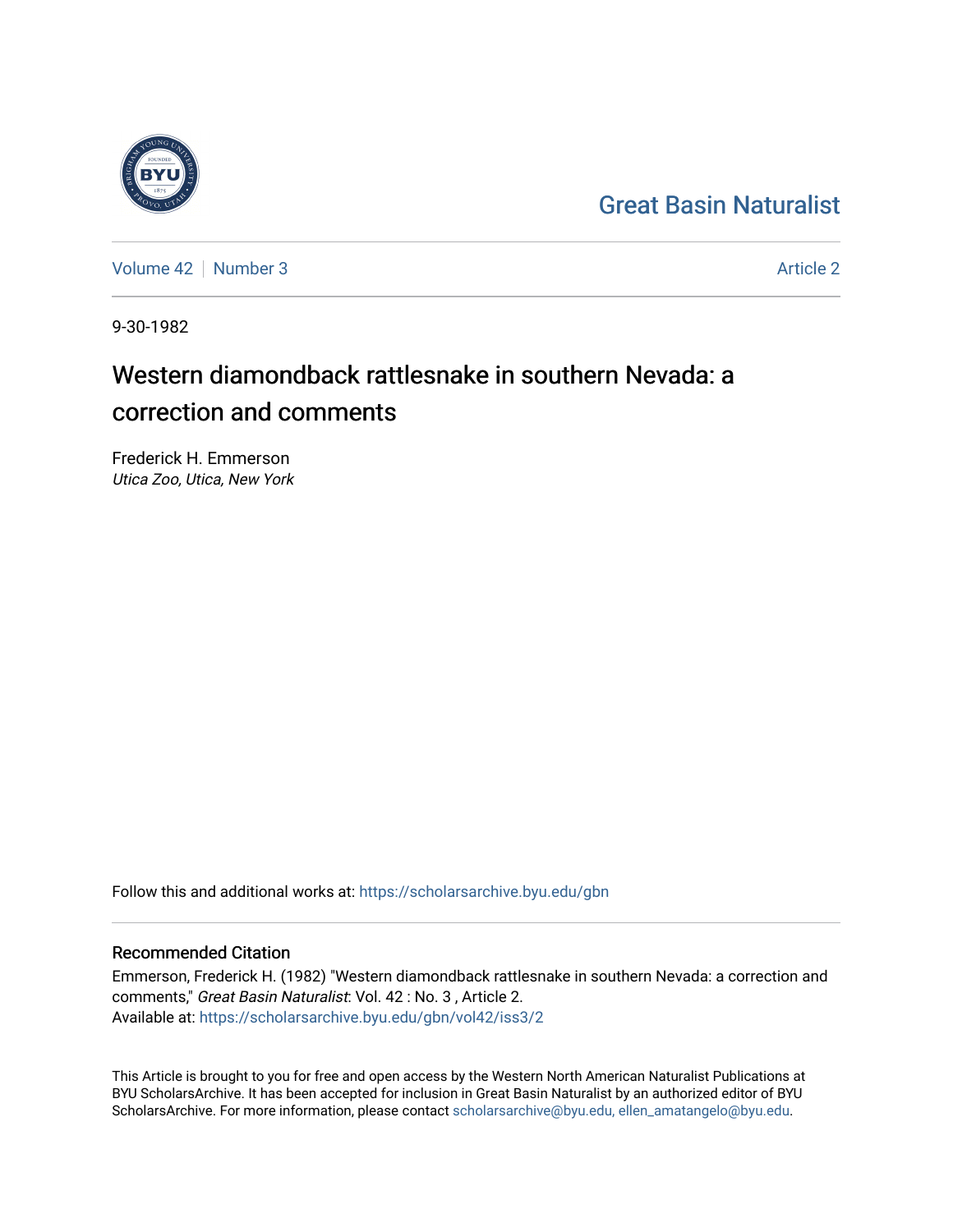## [Great Basin Naturalist](https://scholarsarchive.byu.edu/gbn)

[Volume 42](https://scholarsarchive.byu.edu/gbn/vol42) [Number 3](https://scholarsarchive.byu.edu/gbn/vol42/iss3) [Article 2](https://scholarsarchive.byu.edu/gbn/vol42/iss3/2) Article 2

9-30-1982

# Western diamondback rattlesnake in southern Nevada: a correction and comments

Frederick H. Emmerson Utica Zoo, Utica, New York

Follow this and additional works at: [https://scholarsarchive.byu.edu/gbn](https://scholarsarchive.byu.edu/gbn?utm_source=scholarsarchive.byu.edu%2Fgbn%2Fvol42%2Fiss3%2F2&utm_medium=PDF&utm_campaign=PDFCoverPages) 

## Recommended Citation

Emmerson, Frederick H. (1982) "Western diamondback rattlesnake in southern Nevada: a correction and comments," Great Basin Naturalist: Vol. 42 : No. 3 , Article 2. Available at: [https://scholarsarchive.byu.edu/gbn/vol42/iss3/2](https://scholarsarchive.byu.edu/gbn/vol42/iss3/2?utm_source=scholarsarchive.byu.edu%2Fgbn%2Fvol42%2Fiss3%2F2&utm_medium=PDF&utm_campaign=PDFCoverPages)

This Article is brought to you for free and open access by the Western North American Naturalist Publications at BYU ScholarsArchive. It has been accepted for inclusion in Great Basin Naturalist by an authorized editor of BYU ScholarsArchive. For more information, please contact [scholarsarchive@byu.edu, ellen\\_amatangelo@byu.edu.](mailto:scholarsarchive@byu.edu,%20ellen_amatangelo@byu.edu)